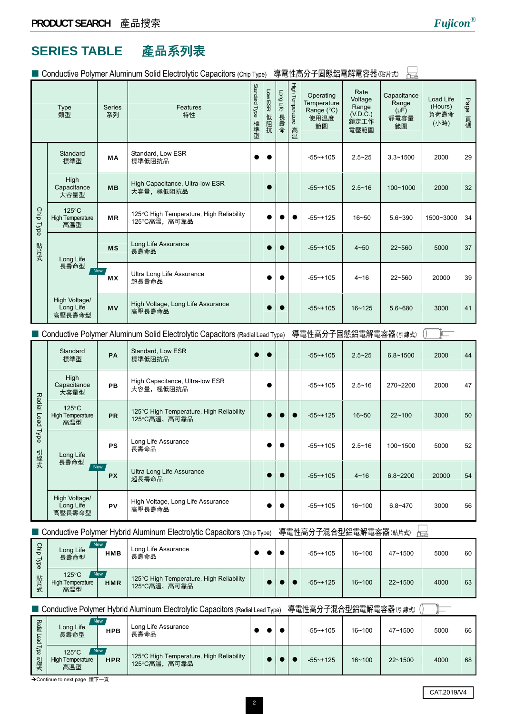## **SERIES TABLE** 產品系列表

■ Conductive Polymer Aluminum Solid Electrolytic Capacitors (Chip Type) 導雷性高分子固熊鋁雷解雷容器(貼片式)

|                  |                                                   |              | $\blacksquare$ Conductive Forginier Alginimant Solid Liectrorytic Capacitors (Crip Type) |                      |                |                  |                            | 守电江向刀丁凹芯面电断电合铺(如几项)                                  |                                                      | Ŀà                                              |                                      |            |
|------------------|---------------------------------------------------|--------------|------------------------------------------------------------------------------------------|----------------------|----------------|------------------|----------------------------|------------------------------------------------------|------------------------------------------------------|-------------------------------------------------|--------------------------------------|------------|
| Type<br>類型       |                                                   | Series<br>系列 | Features<br>特性                                                                           | Standard Type<br>標準型 | Low ESR<br>低阻抗 | Long Life<br>長壽命 | High Temperature<br>高<br>温 | Operating<br>Temperature<br>Range (°C)<br>使用温度<br>範圍 | Rate<br>Voltage<br>Range<br>(V.D.C.)<br>額定工作<br>電壓範圍 | Capacitance<br>Range<br>$(\mu F)$<br>靜電容量<br>範圍 | Load Life<br>(Hours)<br>負荷壽命<br>(小時) | Page<br>頁碼 |
|                  | Standard<br>標準型                                   | MA           | Standard, Low ESR<br>標準低阻抗品                                                              |                      |                |                  |                            | $-55$ ~+105                                          | $2.5 - 25$                                           | $3.3 - 1500$                                    | 2000                                 | 29         |
|                  | High<br>Capacitance<br>大容量型                       | <b>MB</b>    | High Capacitance, Ultra-low ESR<br>大容量,極低阻抗品                                             |                      | $\bullet$      |                  |                            | $-55 - +105$                                         | $2.5 - 16$                                           | 100~1000                                        | 2000                                 | 32         |
| Chip Type        | $125^{\circ}$ C<br><b>High Temperature</b><br>高温型 | <b>MR</b>    | 125°C High Temperature, High Reliability<br>125°C高溫, 高可靠品                                |                      |                |                  |                            | $-55$ ~+125                                          | $16 - 50$                                            | $5.6 - 390$                                     | 1500~3000                            | 34         |
| 貼片式              | Long Life                                         | <b>MS</b>    | Long Life Assurance<br>長壽命品                                                              |                      |                |                  |                            | $-55$ ~+105                                          | $4 - 50$                                             | $22 - 560$                                      | 5000                                 | 37         |
|                  | 長壽命型<br>New                                       | МX           | Ultra Long Life Assurance<br>超長壽命品                                                       |                      |                |                  |                            | $-55 - +105$                                         | $4 - 16$                                             | 22~560                                          | 20000                                | 39         |
|                  | High Voltage/<br>Long Life<br>高壓長壽命型              | <b>MV</b>    | High Voltage, Long Life Assurance<br>高壓長壽命品                                              |                      |                |                  |                            | $-55 - +105$                                         | $16 - 125$                                           | 5.6~680                                         | 3000                                 | 41         |
|                  |                                                   |              | Conductive Polymer Aluminum Solid Electrolytic Capacitors (Radial Lead Type)             |                      |                |                  |                            | 導電性高分子固態鋁電解電容器(引線式)                                  |                                                      |                                                 |                                      |            |
|                  | Standard<br>標準型                                   | PA           | Standard, Low ESR<br>標準低阻抗品                                                              |                      |                |                  |                            | $-55 - +105$                                         | $2.5 - 25$                                           | $6.8 - 1500$                                    | 2000                                 | 44         |
|                  | High<br>Capacitance<br>大容量型                       | <b>PB</b>    | High Capacitance, Ultra-low ESR<br>大容量,極低阻抗品                                             |                      |                |                  |                            | $-55$ ~+105                                          | $2.5 - 16$                                           | 270~2200                                        | 2000                                 | 47         |
| Radial Lead Type | $125^{\circ}$ C<br><b>High Temperature</b><br>高温型 | PR           | 125°C High Temperature, High Reliability<br>125°C高溫, 高可靠品                                |                      |                |                  |                            | $-55$ ~+125                                          | $16 - 50$                                            | $22 - 100$                                      | 3000                                 | 50         |
| 引                | Long Life                                         | <b>PS</b>    | Long Life Assurance<br>長壽命品                                                              |                      |                |                  |                            | $-55$ ~+105                                          | $2.5 - 16$                                           | 100~1500                                        | 5000                                 | 52         |
| 線式               | 長壽命型<br>New                                       | <b>PX</b>    | Ultra Long Life Assurance<br>超長壽命品                                                       |                      |                |                  |                            | $-55 - +105$                                         | $4 - 16$                                             | $6.8 - 2200$                                    | 20000                                | 54         |
|                  | High Voltage/<br>Long Life<br>高壓長壽命型              | PV           | High Voltage, Long Life Assurance<br>高壓長壽命品                                              |                      |                | $\bullet$        |                            | $-55 - +105$                                         | 16~100                                               | $6.8 - 470$                                     | 3000                                 | 56         |

■ Conductive Polymer Hybrid Aluminum Electrolytic Capacitors (Chip Type) 導電性高分子混合型鋁電解電容器(貼片式) <del><sub>面</sub></del>

| Chip<br>Type | Long Life<br>長壽命型                       | <b>New</b><br><b>HMB</b> | Long Life Assurance<br>長壽命品                               |  |  | $-55 - +105$ | $16 - 100$ | 47~1500     | 5000 | 60 |
|--------------|-----------------------------------------|--------------------------|-----------------------------------------------------------|--|--|--------------|------------|-------------|------|----|
| 貼片式          | 125°C<br><b>High Temperature</b><br>高温型 | New<br><b>HMR</b>        | 125°C High Temperature, High Reliability<br>125°C高溫, 高可靠品 |  |  | $-55 - +125$ | $16 - 100$ | $22 - 1500$ | 4000 | 63 |

■ Conductive Polymer Hybrid Aluminum Electrolytic Capacitors (Radial Lead Type) 導電性高分子混合型鋁電解電容器(引線式)

| Radial<br>Lead | <b>New</b><br>Long Life<br>長壽命型                                 | <b>HPB</b> | Long Life Assurance<br>長壽命品                              |  |  | $-55 - +105$ | $16 - 100$ | 47~1500     | 5000 | 66 |
|----------------|-----------------------------------------------------------------|------------|----------------------------------------------------------|--|--|--------------|------------|-------------|------|----|
| lype<br>引線式    | <b>New</b><br>$125^{\circ}$ C<br><b>High Temperature</b><br>高温型 | <b>HPR</b> | 125°C High Temperature, High Reliability<br>125°C高溫,高可靠品 |  |  | $-55 - +125$ | $16 - 100$ | $22 - 1500$ | 4000 | 68 |

**→Continue to next page 續下一頁**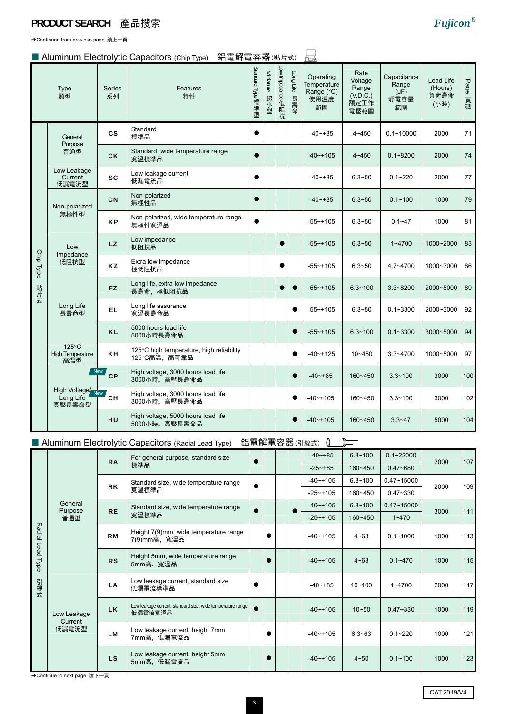**→Continued from previous page 續上一頁** 

#### ■ Aluminum Electrolytic Capacitors (Chip Type) 鋁電解電容器(貼片式)

|           | Type<br>類型                                        | <b>Series</b><br>系列 | Features<br>特性                                            | Standard Type 標準型 | Miniature<br>超小型 | Low Impedance 低阻抗 | [ong Life 表<br>壽<br>命 | Operating<br>Temperature<br>Range (°C)<br>使用温度<br>範圍 | Rate<br>Voltage<br>Range<br>(V.D.C.)<br>額定工作<br>電壓範圍 | Capacitance<br>Range<br>$(\mu F)$<br>靜電容量<br>範圍 | Load Life<br>(Hours)<br>負荷壽命<br>(小時) | Page<br>頁碼 |
|-----------|---------------------------------------------------|---------------------|-----------------------------------------------------------|-------------------|------------------|-------------------|-----------------------|------------------------------------------------------|------------------------------------------------------|-------------------------------------------------|--------------------------------------|------------|
|           | General<br>Purpose                                | $\mathsf{cs}$       | Standard<br>標準品                                           |                   |                  |                   |                       | $-40 - +85$                                          | $4 - 450$                                            | $0.1 - 10000$                                   | 2000                                 | 71         |
|           | 普通型                                               | <b>CK</b>           | Standard, wide temperature range<br>寬溫標準品                 | $\bullet$         |                  |                   |                       | $-40$ $-+105$                                        | $4 - 450$                                            | $0.1 - 8200$                                    | 2000                                 | 74         |
|           | Low Leakage<br>Current<br>低漏電流型                   | <b>SC</b>           | Low leakage current<br>低漏電流品                              |                   |                  |                   |                       | $-40$ ~+85                                           | $6.3 - 50$                                           | $0.1 - 220$                                     | 2000                                 | 77         |
|           | Non-polarized                                     | <b>CN</b>           | Non-polarized<br>無極性品                                     |                   |                  |                   |                       | $-40$ $-+85$                                         | $6.3 - 50$                                           | $0.1 - 100$                                     | 1000                                 | 79         |
|           | 無極性型                                              | <b>KP</b>           | Non-polarized, wide temperature range<br>無極性寬溫品           |                   |                  |                   |                       | $-55 - +105$                                         | $6.3 - 50$                                           | $0.1 - 47$                                      | 1000                                 | 81         |
|           | Low<br>Impedance<br>低阻抗型                          | <b>LZ</b>           | Low impedance<br>低阻抗品                                     |                   |                  |                   |                       | $-55 - +105$                                         | $6.3 - 50$                                           | $1 - 4700$                                      | 1000~2000                            | 83         |
| Chip Type |                                                   | <b>KZ</b>           | Extra low impedance<br>極低阻抗品                              |                   |                  |                   |                       | $-55 - +105$                                         | $6.3 - 50$                                           | 4.7~4700                                        | 1000~3000                            | 86         |
| 貼片式       |                                                   | FZ.                 | Long life, extra low impedance<br>長壽命, 極低阻抗品              |                   |                  |                   | $\bullet$             | $-55$ ~+105                                          | $6.3 - 100$                                          | $3.3 - 8200$                                    | 2000~5000                            | 89         |
|           | Long Life<br>長壽命型                                 | <b>EL</b>           | Long life assurance<br>寬溫長壽命品                             |                   |                  |                   | $\bullet$             | $-55 - +105$                                         | $6.3 - 50$                                           | $0.1 - 3300$                                    | 2000~3000                            | 92         |
|           |                                                   | <b>KL</b>           | 5000 hours load life<br>5000小時長壽命品                        |                   |                  |                   | $\bullet$             | $-55$ ~+105                                          | $6.3 - 100$                                          | $0.1 - 3300$                                    | 3000~5000                            | 94         |
|           | $125^{\circ}$ C<br><b>High Temperature</b><br>高温型 | <b>KH</b>           | 125°C high temperature, high reliability<br>125°C高温, 高可靠品 |                   |                  |                   | $\bullet$             | $-40$ $-125$                                         | 10~450                                               | $3.3 - 4700$                                    | 1000~5000                            | 97         |
|           |                                                   | New,<br>CP          | High voltage, 3000 hours load life<br>3000小時, 高壓長壽命品      |                   |                  |                   | $\bullet$             | $-40 - +85$                                          | 160~450                                              | $3.3 - 100$                                     | 3000                                 | 100        |
|           | High Voltage/New<br>Long Life<br>高壓長壽命型           | <b>CH</b>           | High voltage, 3000 hours load life<br>3000小時, 高壓長壽命品      |                   |                  |                   | $\bullet$             | $-40$ ~+105                                          | 160~450                                              | $3.3 - 100$                                     | 3000                                 | 102        |
|           |                                                   | <b>HU</b>           | High voltage, 5000 hours load life<br>5000小時, 高壓長壽命品      |                   |                  |                   | $\bullet$             | $-40$ ~+105                                          | $160 - 450$                                          | $3.3 - 47$                                      | 5000                                 | 104        |

#### ■ Aluminum Electrolytic Capacitors (Radial Lead Type) 鋁電解電容器(引線式) 0 – –

|                  |                        | <b>RA</b> | For general purpose, standard size                                    |  |  | $-40 - +85$    | $6.3 - 100$ | $0.1 - 22000$  | 2000 | 107 |
|------------------|------------------------|-----------|-----------------------------------------------------------------------|--|--|----------------|-------------|----------------|------|-----|
|                  |                        |           | 標準品                                                                   |  |  | $-25 - +85$    | $160 - 450$ | $0.47 - 680$   |      |     |
|                  |                        | <b>RK</b> | Standard size, wide temperature range                                 |  |  | $-40$ $-105$   | $6.3 - 100$ | $0.47 - 15000$ | 2000 | 109 |
|                  |                        |           | 寬溫標準品                                                                 |  |  | $-25 - +105$   | 160~450     | $0.47 - 330$   |      |     |
|                  | General<br>Purpose     | <b>RE</b> | Standard size, wide temperature range                                 |  |  | $-40$ ~ $+105$ | $6.3 - 100$ | $0.47 - 15000$ | 3000 | 111 |
|                  | 普通型                    |           | 寬溫標準品                                                                 |  |  | $-25$ ~+105    | 160~450     | $1 - 470$      |      |     |
| Radial Lead Type |                        | <b>RM</b> | Height 7(9)mm, wide temperature range<br>7(9)mm高,寬溫品                  |  |  | $-40$ $-105$   | $4 - 63$    | $0.1 - 1000$   | 1000 | 113 |
|                  |                        | <b>RS</b> | Height 5mm, wide temperature range<br>5mm高,寬溫品                        |  |  | $-40$ ~ $+105$ | $4 - 63$    | $0.1 - 470$    | 1000 | 115 |
| 引線式              |                        | LA        | Low leakage current, standard size<br>低漏電流標準品                         |  |  | $-40 - +85$    | $10 - 100$  | $1 - 4700$     | 2000 | 117 |
|                  | Low Leakage<br>Current | <b>LK</b> | Low leakage current, standard size, wide temperature range<br>低漏電流寬溫品 |  |  | $-40$ ~ $+105$ | $10 - 50$   | $0.47 - 330$   | 1000 | 119 |
|                  | 低漏電流型                  | LM        | Low leakage current, height 7mm<br>7mm高, 低漏電流品                        |  |  | $-40$ ~ + 105  | $6.3 - 63$  | $0.1 - 220$    | 1000 | 121 |
|                  |                        | LS.       | Low leakage current, height 5mm<br>5mm高,低漏電流品                         |  |  | $-40$ ~ + 105  | $4 - 50$    | $0.1 - 100$    | 1000 | 123 |

**→Continue to next page 續下一頁**